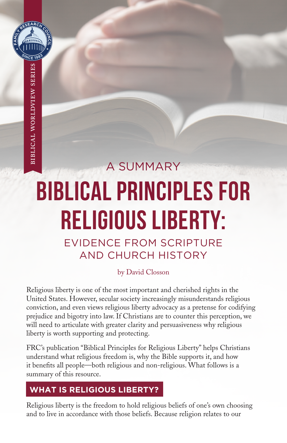

# A SUMMARY BIBLICAL PRINCIPLES FOR RELIGIOUS LIBERTY:

EVIDENCE FROM SCRIPTURE AND CHURCH HISTORY

#### by David Closson

Religious liberty is one of the most important and cherished rights in the United States. However, secular society increasingly misunderstands religious conviction, and even views religious liberty advocacy as a pretense for codifying prejudice and bigotry into law. If Christians are to counter this perception, we will need to articulate with greater clarity and persuasiveness why religious liberty is worth supporting and protecting.

FRC's publication "Biblical Principles for Religious Liberty" helps Christians understand what religious freedom is, why the Bible supports it, and how it benefits all people—both religious and non-religious. What follows is a summary of this resource.

# **WHAT IS RELIGIOUS LIBERTY?**

Religious liberty is the freedom to hold religious beliefs of one's own choosing and to live in accordance with those beliefs. Because religion relates to our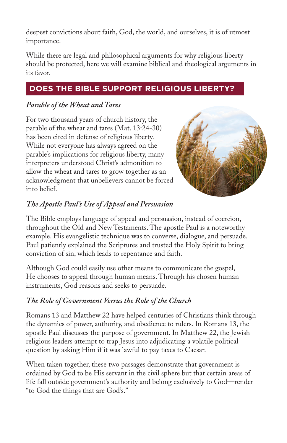deepest convictions about faith, God, the world, and ourselves, it is of utmost importance.

While there are legal and philosophical arguments for why religious liberty should be protected, here we will examine biblical and theological arguments in its favor.

# **DOES THE BIBLE SUPPORT RELIGIOUS LIBERTY?**

## *Parable of the Wheat and Tares*

For two thousand years of church history, the parable of the wheat and tares (Mat. 13:24-30) has been cited in defense of religious liberty. While not everyone has always agreed on the parable's implications for religious liberty, many interpreters understood Christ's admonition to allow the wheat and tares to grow together as an acknowledgment that unbelievers cannot be forced into belief.



## *The Apostle Paul's Use of Appeal and Persuasion*

The Bible employs language of appeal and persuasion, instead of coercion, throughout the Old and New Testaments. The apostle Paul is a noteworthy example. His evangelistic technique was to converse, dialogue, and persuade. Paul patiently explained the Scriptures and trusted the Holy Spirit to bring conviction of sin, which leads to repentance and faith.

Although God could easily use other means to communicate the gospel, He chooses to appeal through human means. Through his chosen human instruments, God reasons and seeks to persuade.

## *The Role of Government Versus the Role of the Church*

Romans 13 and Matthew 22 have helped centuries of Christians think through the dynamics of power, authority, and obedience to rulers. In Romans 13, the apostle Paul discusses the purpose of government. In Matthew 22, the Jewish religious leaders attempt to trap Jesus into adjudicating a volatile political question by asking Him if it was lawful to pay taxes to Caesar.

When taken together, these two passages demonstrate that government is ordained by God to be His servant in the civil sphere but that certain areas of life fall outside government's authority and belong exclusively to God—render "to God the things that are God's."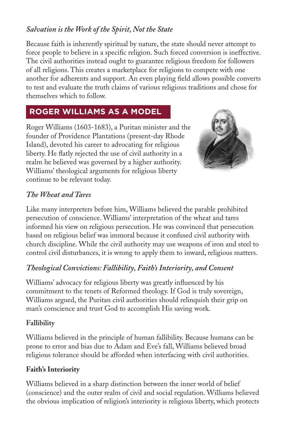#### *Salvation is the Work of the Spirit, Not the State*

Because faith is inherently spiritual by nature, the state should never attempt to force people to believe in a specific religion. Such forced conversion is ineffective. The civil authorities instead ought to guarantee religious freedom for followers of all religions. This creates a marketplace for religions to compete with one another for adherents and support. An even playing field allows possible converts to test and evaluate the truth claims of various religious traditions and chose for themselves which to follow.

## **ROGER WILLIAMS AS A MODEL**

Roger Williams (1603-1683), a Puritan minister and the founder of Providence Plantations (present-day Rhode Island), devoted his career to advocating for religious liberty. He flatly rejected the use of civil authority in a realm he believed was governed by a higher authority. Williams' theological arguments for religious liberty continue to be relevant today.



#### *The Wheat and Tares*

Like many interpreters before him, Williams believed the parable prohibited persecution of conscience. Williams' interpretation of the wheat and tares informed his view on religious persecution. He was convinced that persecution based on religious belief was immoral because it confused civil authority with church discipline. While the civil authority may use weapons of iron and steel to control civil disturbances, it is wrong to apply them to inward, religious matters.

#### *Theological Convictions: Fallibility, Faith's Interiority, and Consent*

Williams' advocacy for religious liberty was greatly influenced by his commitment to the tenets of Reformed theology. If God is truly sovereign, Williams argued, the Puritan civil authorities should relinquish their grip on man's conscience and trust God to accomplish His saving work.

#### **Fallibility**

Williams believed in the principle of human fallibility. Because humans can be prone to error and bias due to Adam and Eve's fall, Williams believed broad religious tolerance should be afforded when interfacing with civil authorities.

#### **Faith's Interiority**

Williams believed in a sharp distinction between the inner world of belief (conscience) and the outer realm of civil and social regulation. Williams believed the obvious implication of religion's interiority is religious liberty, which protects